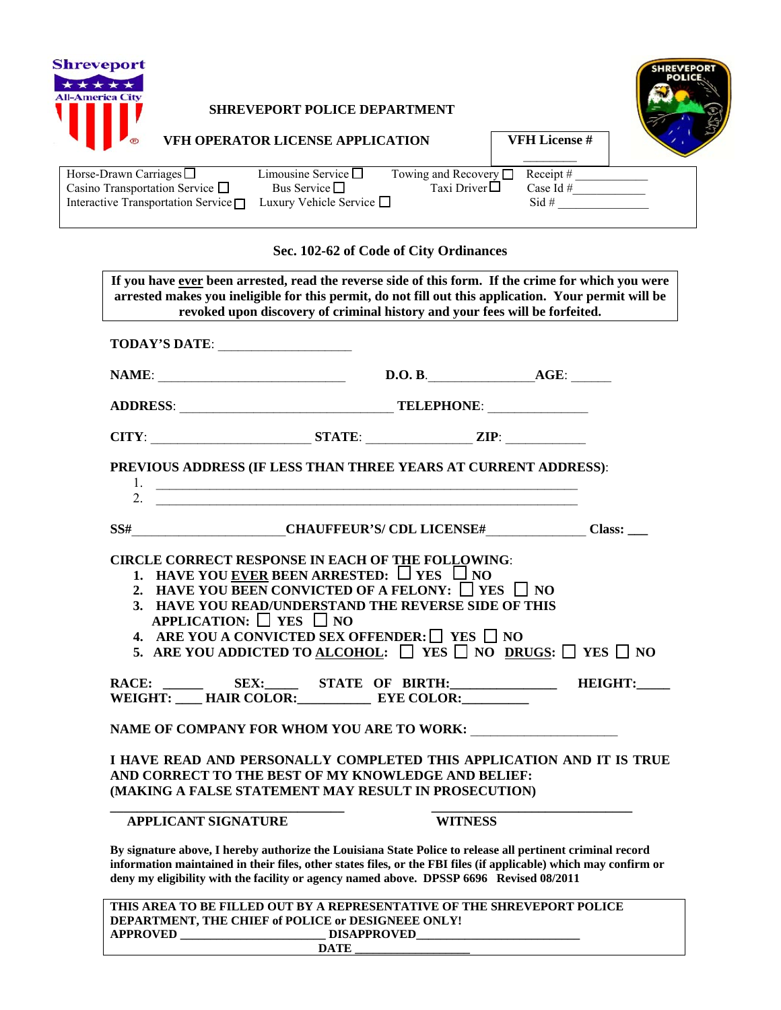

## **SHREVEPORT POLICE DEPARTMENT**



**VFH License #** 

| VFH OPERATOR LICENSE APPLICATION |
|----------------------------------|
|----------------------------------|

| Horse-Drawn Carriages $\square$           | Limousine Service $\square$   | Towing and Recovery $\Box$ Receipt # |             |  |
|-------------------------------------------|-------------------------------|--------------------------------------|-------------|--|
| Casino Transportation Service $\Box$      | Bus Service $\square$         | Taxi Driver $\Box$                   | Case Id $#$ |  |
| Interactive Transportation Service $\Box$ | Luxury Vehicle Service $\Box$ |                                      | $Sid$ #     |  |

## **Sec. 102-62 of Code of City Ordinances**

| TODAY'S DATE:                                                                                                                                                                       |                                                                                                                                                                                                       |  |  |  |
|-------------------------------------------------------------------------------------------------------------------------------------------------------------------------------------|-------------------------------------------------------------------------------------------------------------------------------------------------------------------------------------------------------|--|--|--|
|                                                                                                                                                                                     |                                                                                                                                                                                                       |  |  |  |
|                                                                                                                                                                                     |                                                                                                                                                                                                       |  |  |  |
| $CITY:$ $ZIP:$ $ZIP:$                                                                                                                                                               |                                                                                                                                                                                                       |  |  |  |
| PREVIOUS ADDRESS (IF LESS THAN THREE YEARS AT CURRENT ADDRESS):                                                                                                                     |                                                                                                                                                                                                       |  |  |  |
|                                                                                                                                                                                     | 1. $\overline{\phantom{a}}$<br>2. $\qquad \qquad$                                                                                                                                                     |  |  |  |
|                                                                                                                                                                                     |                                                                                                                                                                                                       |  |  |  |
| SS# CHAUFFEUR'S/CDL LICENSE# Class: __                                                                                                                                              |                                                                                                                                                                                                       |  |  |  |
| APPLICATION: $\Box$ YES $\Box$ NO                                                                                                                                                   | 3. HAVE YOU READ/UNDERSTAND THE REVERSE SIDE OF THIS<br>4. ARE YOU A CONVICTED SEX OFFENDER: $\Box$ YES $\Box$ NO<br>5. ARE YOU ADDICTED TO ALCOHOL: $\Box$ YES $\Box$ NO DRUGS: $\Box$ YES $\Box$ NO |  |  |  |
| RACE:                                                                                                                                                                               | SEX: STATE OF BIRTH: HEIGHT:                                                                                                                                                                          |  |  |  |
| WEIGHT: ____ HAIR COLOR:_____________ EYE COLOR:________                                                                                                                            |                                                                                                                                                                                                       |  |  |  |
| NAME OF COMPANY FOR WHOM YOU ARE TO WORK:                                                                                                                                           |                                                                                                                                                                                                       |  |  |  |
| I HAVE READ AND PERSONALLY COMPLETED THIS APPLICATION AND IT IS TRUE<br>AND CORRECT TO THE BEST OF MY KNOWLEDGE AND BELIEF:<br>(MAKING A FALSE STATEMENT MAY RESULT IN PROSECUTION) |                                                                                                                                                                                                       |  |  |  |
|                                                                                                                                                                                     |                                                                                                                                                                                                       |  |  |  |

|                 | THIS AREA TO BE FILLED OUT BY A REPRESENTATIVE OF THE SHREVEPORT POLICE |  |
|-----------------|-------------------------------------------------------------------------|--|
|                 | DEPARTMENT, THE CHIEF of POLICE or DESIGNEEE ONLY!                      |  |
| <b>APPROVED</b> | <b>DISAPPROVED</b>                                                      |  |
|                 | DATE                                                                    |  |
|                 |                                                                         |  |